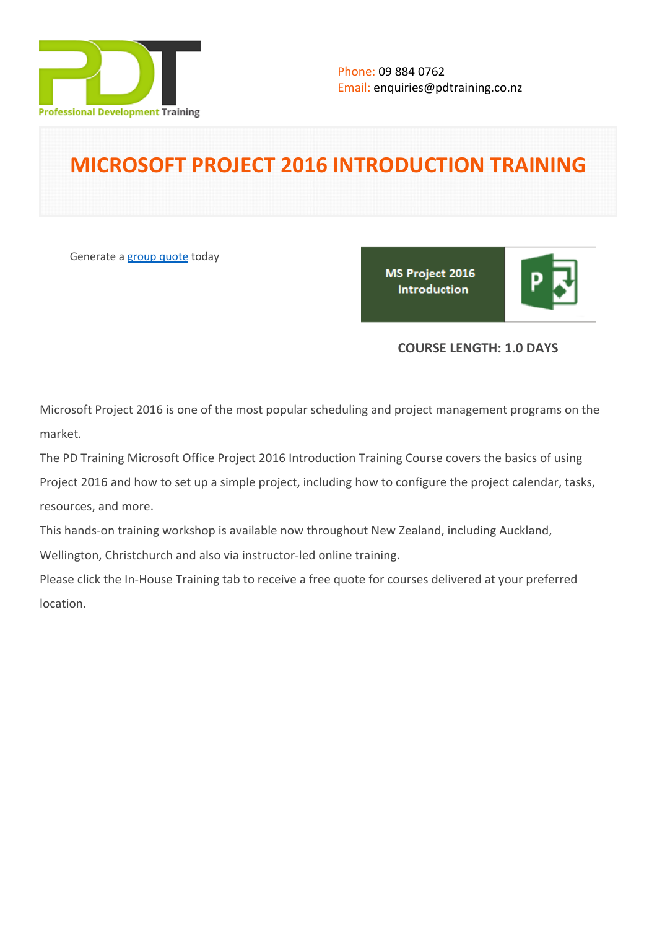

# **MICROSOFT PROJECT 2016 INTRODUCTION TRAINING**

Generate a [group quote](https://pdtraining.co.nz/inhouse-training-quote?cse=PDT99050_C) today

MS Project 2016 Introduction

## **COURSE LENGTH: 1.0 DAYS**

Microsoft Project 2016 is one of the most popular scheduling and project management programs on the market.

The PD Training Microsoft Office Project 2016 Introduction Training Course covers the basics of using

Project 2016 and how to set up a simple project, including how to configure the project calendar, tasks, resources, and more.

This hands-on training workshop is available now throughout New Zealand, including Auckland,

Wellington, Christchurch and also via instructor-led online training.

Please click the In-House Training tab to receive a free quote for courses delivered at your preferred location.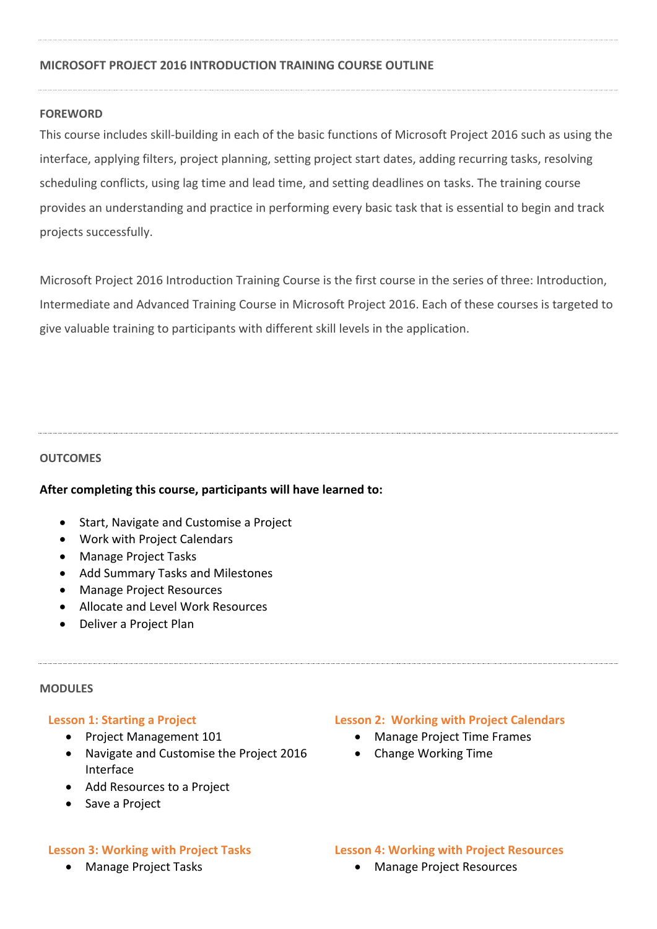## **MICROSOFT PROJECT 2016 INTRODUCTION TRAINING COURSE OUTLINE**

## **FOREWORD**

This course includes skill-building in each of the basic functions of Microsoft Project 2016 such as using the interface, applying filters, project planning, setting project start dates, adding recurring tasks, resolving scheduling conflicts, using lag time and lead time, and setting deadlines on tasks. The training course provides an understanding and practice in performing every basic task that is essential to begin and track projects successfully.

Microsoft Project 2016 Introduction Training Course is the first course in the series of three: Introduction, Intermediate and Advanced Training Course in Microsoft Project 2016. Each of these courses is targeted to give valuable training to participants with different skill levels in the application.

## **OUTCOMES**

## **After completing this course, participants will have learned to:**

- Start, Navigate and Customise a Project
- Work with Project Calendars
- Manage Project Tasks
- Add Summary Tasks and Milestones
- Manage Project Resources
- Allocate and Level Work Resources
- Deliver a Project Plan

#### **MODULES**

## **Lesson 1: Starting a Project**

- Project Management 101
- Navigate and Customise the Project 2016 Interface
- Add Resources to a Project
- Save a Project

## **Lesson 3: Working with Project Tasks**

Manage Project Tasks

## **Lesson 2: Working with Project Calendars**

- Manage Project Time Frames
- Change Working Time

**Lesson 4: Working with Project Resources**

Manage Project Resources